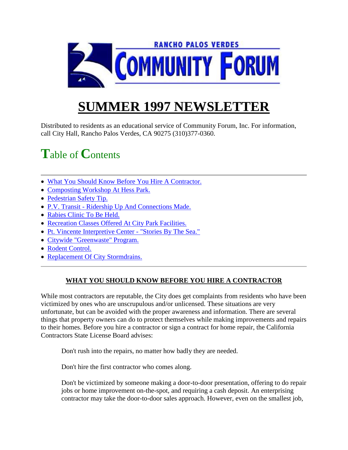

# **SUMMER 1997 NEWSLETT**

Distributed to residents as an educational service of Community Forum, Inc. For information, call City Hall, Rancho Palos Verdes, CA 90275 (310)377-0360.

## **T**able of **C**ontents

- What You Should Know Before You Hire A Contractor.
- Composting Workshop At Hess Park.
- Pedestrian Safety Tip.
- P.V. Transit Ridership Up And Connections Made.
- Rabies Clinic To Be Held.
- Recreation Classes Offered At City Park Facilities.
- Pt. Vincente Interpretive Center "Stories By The Sea."
- Citywide "Greenwaste" Program.
- Rodent Control.
- Replacement Of City Stormdrains.

## **WHAT YOU SHOULD KNOW BEFORE YOU HIRE A CONTRACTOR**

While most contractors are reputable, the City does get complaints from residents who have been victimized by ones who are unscrupulous and/or unlicensed. These situations are very unfortunate, but can be avoided with the proper awareness and information. There are several things that property owners can do to protect themselves while making improvements and repairs to their homes. Before you hire a contractor or sign a contract for home repair, the California Contractors State License Board advises:

Don't rush into the repairs, no matter how badly they are needed.

Don't hire the first contractor who comes along.

Don't be victimized by someone making a door-to-door presentation, offering to do repair jobs or home improvement on-the-spot, and requiring a cash deposit. An enterprising contractor may take the door-to-door sales approach. However, even on the smallest job,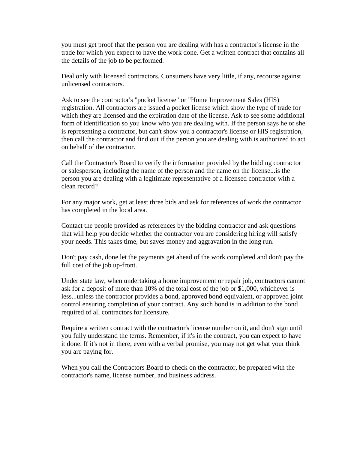you must get proof that the person you are dealing with has a contractor's license in the trade for which you expect to have the work done. Get a written contract that contains all the details of the job to be performed.

Deal only with licensed contractors. Consumers have very little, if any, recourse against unlicensed contractors.

Ask to see the contractor's "pocket license" or "Home Improvement Sales (HIS) registration. All contractors are issued a pocket license which show the type of trade for which they are licensed and the expiration date of the license. Ask to see some additional form of identification so you know who you are dealing with. If the person says he or she is representing a contractor, but can't show you a contractor's license or HIS registration, then call the contractor and find out if the person you are dealing with is authorized to act on behalf of the contractor.

Call the Contractor's Board to verify the information provided by the bidding contractor or salesperson, including the name of the person and the name on the license...is the person you are dealing with a legitimate representative of a licensed contractor with a clean record?

For any major work, get at least three bids and ask for references of work the contractor has completed in the local area.

Contact the people provided as references by the bidding contractor and ask questions that will help you decide whether the contractor you are considering hiring will satisfy your needs. This takes time, but saves money and aggravation in the long run.

Don't pay cash, done let the payments get ahead of the work completed and don't pay the full cost of the job up-front.

Under state law, when undertaking a home improvement or repair job, contractors cannot ask for a deposit of more than 10% of the total cost of the job or \$1,000, whichever is less...unless the contractor provides a bond, approved bond equivalent, or approved joint control ensuring completion of your contract. Any such bond is in addition to the bond required of all contractors for licensure.

Require a written contract with the contractor's license number on it, and don't sign until you fully understand the terms. Remember, if it's in the contract, you can expect to have it done. If it's not in there, even with a verbal promise, you may not get what your think you are paying for.

When you call the Contractors Board to check on the contractor, be prepared with the contractor's name, license number, and business address.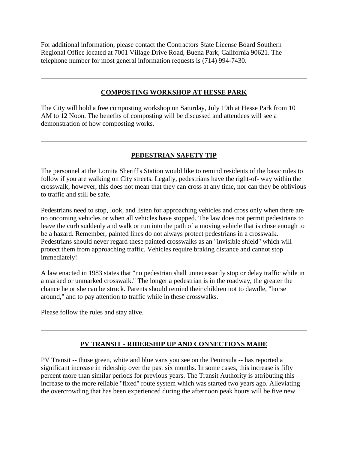For additional information, please contact the Contractors State License Board Southern Regional Office located at 7001 Village Drive Road, Buena Park, California 90621. The telephone number for most general information requests is (714) 994-7430.

#### **COMPOSTING WORKSHOP AT HESSE PARK**

The City will hold a free composting workshop on Saturday, July 19th at Hesse Park from 10 AM to 12 Noon. The benefits of composting will be discussed and attendees will see a demonstration of how composting works.

## **PEDESTRIAN SAFETY TIP**

The personnel at the Lomita Sheriff's Station would like to remind residents of the basic rules to follow if you are walking on City streets. Legally, pedestrians have the right-of- way within the crosswalk; however, this does not mean that they can cross at any time, nor can they be oblivious to traffic and still be safe.

Pedestrians need to stop, look, and listen for approaching vehicles and cross only when there are no oncoming vehicles or when all vehicles have stopped. The law does not permit pedestrians to leave the curb suddenly and walk or run into the path of a moving vehicle that is close enough to be a hazard. Remember, painted lines do not always protect pedestrians in a crosswalk. Pedestrians should never regard these painted crosswalks as an "invisible shield" which will protect them from approaching traffic. Vehicles require braking distance and cannot stop immediately!

A law enacted in 1983 states that "no pedestrian shall unnecessarily stop or delay traffic while in a marked or unmarked crosswalk." The longer a pedestrian is in the roadway, the greater the chance he or she can be struck. Parents should remind their children not to dawdle, "horse around," and to pay attention to traffic while in these crosswalks.

Please follow the rules and stay alive.

#### **PV TRANSIT - RIDERSHIP UP AND CONNECTIONS MADE**

PV Transit -- those green, white and blue vans you see on the Peninsula -- has reported a significant increase in ridership over the past six months. In some cases, this increase is fifty percent more than similar periods for previous years. The Transit Authority is attributing this increase to the more reliable "fixed" route system which was started two years ago. Alleviating the overcrowding that has been experienced during the afternoon peak hours will be five new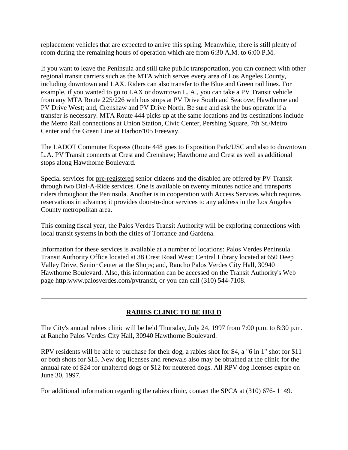replacement vehicles that are expected to arrive this spring. Meanwhile, there is still plenty of room during the remaining hours of operation which are from 6:30 A.M. to 6:00 P.M.

If you want to leave the Peninsula and still take public transportation, you can connect with other regional transit carriers such as the MTA which serves every area of Los Angeles County, including downtown and LAX. Riders can also transfer to the Blue and Green rail lines. For example, if you wanted to go to LAX or downtown L. A., you can take a PV Transit vehicle from any MTA Route 225/226 with bus stops at PV Drive South and Seacove; Hawthorne and PV Drive West; and, Crenshaw and PV Drive North. Be sure and ask the bus operator if a transfer is necessary. MTA Route 444 picks up at the same locations and its destinations include the Metro Rail connections at Union Station, Civic Center, Pershing Square, 7th St./Metro Center and the Green Line at Harbor/105 Freeway.

The LADOT Commuter Express (Route 448 goes to Exposition Park/USC and also to downtown L.A. PV Transit connects at Crest and Crenshaw; Hawthorne and Crest as well as additional stops along Hawthorne Boulevard.

Special services for pre-registered senior citizens and the disabled are offered by PV Transit through two Dial-A-Ride services. One is available on twenty minutes notice and transports riders throughout the Peninsula. Another is in cooperation with Access Services which requires reservations in advance; it provides door-to-door services to any address in the Los Angeles County metropolitan area.

This coming fiscal year, the Palos Verdes Transit Authority will be exploring connections with local transit systems in both the cities of Torrance and Gardena.

Information for these services is available at a number of locations: Palos Verdes Peninsula Transit Authority Office located at 38 Crest Road West; Central Library located at 650 Deep Valley Drive, Senior Center at the Shops; and, Rancho Palos Verdes City Hall, 30940 Hawthorne Boulevard. Also, this information can be accessed on the Transit Authority's Web page http:www.palosverdes.com/pvtransit, or you can call (310) 544-7108.

## **RABIES CLINIC TO BE HELD**

The City's annual rabies clinic will be held Thursday, July 24, 1997 from 7:00 p.m. to 8:30 p.m. at Rancho Palos Verdes City Hall, 30940 Hawthorne Boulevard.

RPV residents will be able to purchase for their dog, a rabies shot for \$4, a "6 in 1" shot for \$11 or both shots for \$15. New dog licenses and renewals also may be obtained at the clinic for the annual rate of \$24 for unaltered dogs or \$12 for neutered dogs. All RPV dog licenses expire on June 30, 1997.

For additional information regarding the rabies clinic, contact the SPCA at (310) 676- 1149.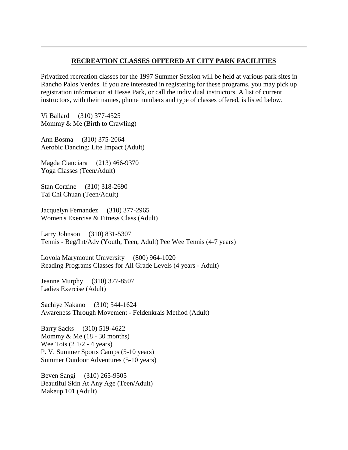#### **RECREATION CLASSES OFFERED AT CITY PARK FACILITIES**

Privatized recreation classes for the 1997 Summer Session will be held at various park sites in Rancho Palos Verdes. If you are interested in registering for these programs, you may pick up registration information at Hesse Park, or call the individual instructors. A list of current instructors, with their names, phone numbers and type of classes offered, is listed below.

Vi Ballard (310) 377-4525 Mommy & Me (Birth to Crawling)

Ann Bosma (310) 375-2064 Aerobic Dancing: Lite Impact (Adult)

Magda Cianciara (213) 466-9370 Yoga Classes (Teen/Adult)

Stan Corzine (310) 318-2690 Tai Chi Chuan (Teen/Adult)

Jacquelyn Fernandez (310) 377-2965 Women's Exercise & Fitness Class (Adult)

Larry Johnson (310) 831-5307 Tennis - Beg/Int/Adv (Youth, Teen, Adult) Pee Wee Tennis (4-7 years)

Loyola Marymount University (800) 964-1020 Reading Programs Classes for All Grade Levels (4 years - Adult)

Jeanne Murphy (310) 377-8507 Ladies Exercise (Adult)

Sachiye Nakano (310) 544-1624 Awareness Through Movement - Feldenkrais Method (Adult)

Barry Sacks (310) 519-4622 Mommy & Me (18 - 30 months) Wee Tots (2 1/2 - 4 years) P. V. Summer Sports Camps (5-10 years) Summer Outdoor Adventures (5-10 years)

Beven Sangi (310) 265-9505 Beautiful Skin At Any Age (Teen/Adult) Makeup 101 (Adult)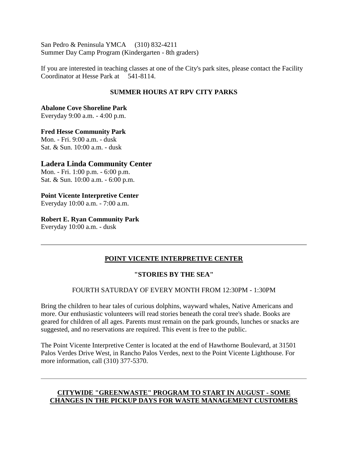San Pedro & Peninsula YMCA (310) 832-4211 Summer Day Camp Program (Kindergarten - 8th graders)

If you are interested in teaching classes at one of the City's park sites, please contact the Facility Coordinator at Hesse Park at 541-8114.

## **SUMMER HOURS AT RPV CITY PARKS**

**Abalone Cove Shoreline Park**  Everyday 9:00 a.m. - 4:00 p.m.

**Fred Hesse Community Park** Mon. - Fri. 9:00 a.m. - dusk Sat. & Sun. 10:00 a.m. - dusk

#### **Ladera Linda Community Center**

Mon. - Fri. 1:00 p.m. - 6:00 p.m. Sat. & Sun. 10:00 a.m. - 6:00 p.m.

#### **Point Vicente Interpretive Center**

Everyday 10:00 a.m. - 7:00 a.m.

#### **Robert E. Ryan Community Park**

Everyday 10:00 a.m. - dusk

#### **POINT VICENTE INTERPRETIVE CENTER**

#### **"STORIES BY THE SEA"**

## FOURTH SATURDAY OF EVERY MONTH FROM 12:30PM - 1:30PM

Bring the children to hear tales of curious dolphins, wayward whales, Native Americans and more. Our enthusiastic volunteers will read stories beneath the coral tree's shade. Books are geared for children of all ages. Parents must remain on the park grounds, lunches or snacks are suggested, and no reservations are required. This event is free to the public.

The Point Vicente Interpretive Center is located at the end of Hawthorne Boulevard, at 31501 Palos Verdes Drive West, in Rancho Palos Verdes, next to the Point Vicente Lighthouse. For more information, call (310) 377-5370.

#### **CITYWIDE "GREENWASTE" PROGRAM TO START IN AUGUST - SOME CHANGES IN THE PICKUP DAYS FOR WASTE MANAGEMENT CUSTOMERS**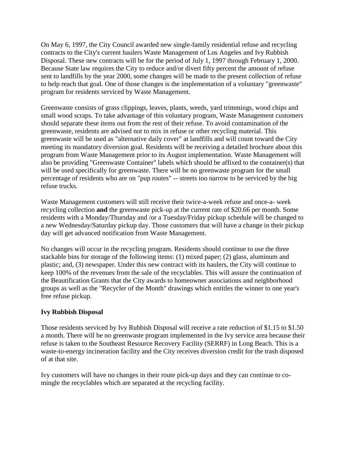On May 6, 1997, the City Council awarded new single-family residential refuse and recycling contracts to the City's current haulers Waste Management of Los Angeles and Ivy Rubbish Disposal. These new contracts will be for the period of July 1, 1997 through February 1, 2000. Because State law requires the City to reduce and/or divert fifty percent the amount of refuse sent to landfills by the year 2000, some changes will be made to the present collection of refuse to help reach that goal. One of those changes is the implementation of a voluntary "greenwaste" program for residents serviced by Waste Management.

Greenwaste consists of grass clippings, leaves, plants, weeds, yard trimmings, wood chips and small wood scraps. To take advantage of this voluntary program, Waste Management customers should separate these items out from the rest of their refuse. To avoid contamination of the greenwaste, residents are advised not to mix in refuse or other recycling material. This greenwaste will be used as "alternative daily cover" at landfills and will count toward the City meeting its mandatory diversion goal. Residents will be receiving a detailed brochure about this program from Waste Management prior to its August implementation. Waste Management will also be providing "Greenwaste Container" labels which should be affixed to the container(s) that will be used specifically for greenwaste. There will be no greenwaste program for the small percentage of residents who are on "pup routes" -- streets too narrow to be serviced by the big refuse trucks.

Waste Management customers will still receive their twice-a-week refuse and once-a- week recycling collection **and** the greenwaste pick-up at the current rate of \$20.66 per month. Some residents with a Monday/Thursday and /or a Tuesday/Friday pickup schedule will be changed to a new Wednesday/Saturday pickup day. Those customers that will have a change in their pickup day will get advanced notification from Waste Management.

No changes will occur in the recycling program. Residents should continue to use the three stackable bins for storage of the following items: (1) mixed paper; (2) glass, aluminum and plastic; and, (3) newspaper. Under this new contract with its haulers, the City will continue to keep 100% of the revenues from the sale of the recyclables. This will assure the continuation of the Beautification Grants that the City awards to homeowner associations and neighborhood groups as well as the "Recycler of the Month" drawings which entitles the winner to one year's free refuse pickup.

#### **Ivy Rubbish Disposal**

Those residents serviced by Ivy Rubbish Disposal will receive a rate reduction of \$1.15 to \$1.50 a month. There will be no greenwaste program implemented in the Ivy service area because their refuse is taken to the Southeast Resource Recovery Facility (SERRF) in Long Beach. This is a waste-to-energy incineration facility and the City receives diversion credit for the trash disposed of at that site.

Ivy customers will have no changes in their route pick-up days and they can continue to comingle the recyclables which are separated at the recycling facility.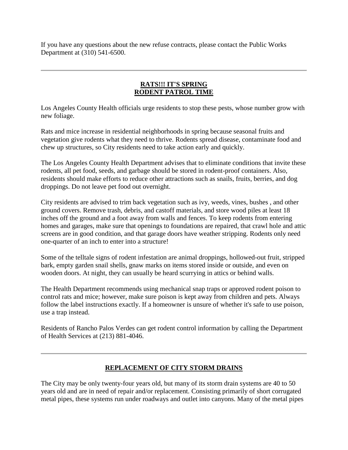If you have any questions about the new refuse contracts, please contact the Public Works Department at (310) 541-6500.

#### **RATS!!! IT'S SPRING RODENT PATROL TIME**

Los Angeles County Health officials urge residents to stop these pests, whose number grow with new foliage.

Rats and mice increase in residential neighborhoods in spring because seasonal fruits and vegetation give rodents what they need to thrive. Rodents spread disease, contaminate food and chew up structures, so City residents need to take action early and quickly.

The Los Angeles County Health Department advises that to eliminate conditions that invite these rodents, all pet food, seeds, and garbage should be stored in rodent-proof containers. Also, residents should make efforts to reduce other attractions such as snails, fruits, berries, and dog droppings. Do not leave pet food out overnight.

City residents are advised to trim back vegetation such as ivy, weeds, vines, bushes , and other ground covers. Remove trash, debris, and castoff materials, and store wood piles at least 18 inches off the ground and a foot away from walls and fences. To keep rodents from entering homes and garages, make sure that openings to foundations are repaired, that crawl hole and attic screens are in good condition, and that garage doors have weather stripping. Rodents only need one-quarter of an inch to enter into a structure!

Some of the telltale signs of rodent infestation are animal droppings, hollowed-out fruit, stripped bark, empty garden snail shells, gnaw marks on items stored inside or outside, and even on wooden doors. At night, they can usually be heard scurrying in attics or behind walls.

The Health Department recommends using mechanical snap traps or approved rodent poison to control rats and mice; however, make sure poison is kept away from children and pets. Always follow the label instructions exactly. If a homeowner is unsure of whether it's safe to use poison, use a trap instead.

Residents of Rancho Palos Verdes can get rodent control information by calling the Department of Health Services at (213) 881-4046.

## **REPLACEMENT OF CITY STORM DRAINS**

The City may be only twenty-four years old, but many of its storm drain systems are 40 to 50 years old and are in need of repair and/or replacement. Consisting primarily of short corrugated metal pipes, these systems run under roadways and outlet into canyons. Many of the metal pipes